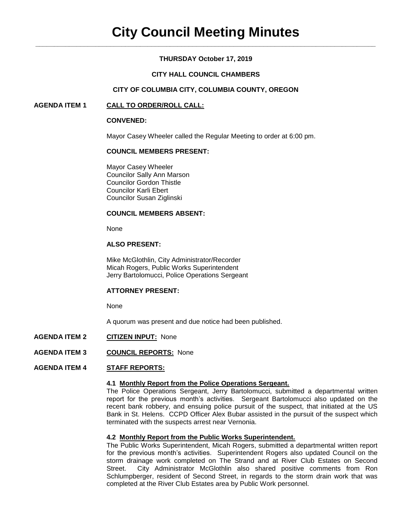## **THURSDAY October 17, 2019**

### **CITY HALL COUNCIL CHAMBERS**

### **CITY OF COLUMBIA CITY, COLUMBIA COUNTY, OREGON**

### **AGENDA ITEM 1 CALL TO ORDER/ROLL CALL:**

#### **CONVENED:**

Mayor Casey Wheeler called the Regular Meeting to order at 6:00 pm.

## **COUNCIL MEMBERS PRESENT:**

Mayor Casey Wheeler Councilor Sally Ann Marson Councilor Gordon Thistle Councilor Karli Ebert Councilor Susan Ziglinski

### **COUNCIL MEMBERS ABSENT:**

None

#### **ALSO PRESENT:**

Mike McGlothlin, City Administrator/Recorder Micah Rogers, Public Works Superintendent Jerry Bartolomucci, Police Operations Sergeant

#### **ATTORNEY PRESENT:**

None

A quorum was present and due notice had been published.

- **AGENDA ITEM 2 CITIZEN INPUT:** None
- **AGENDA ITEM 3 COUNCIL REPORTS:** None

#### **AGENDA ITEM 4 STAFF REPORTS:**

### **4.1 Monthly Report from the Police Operations Sergeant.**

The Police Operations Sergeant, Jerry Bartolomucci, submitted a departmental written report for the previous month's activities. Sergeant Bartolomucci also updated on the recent bank robbery, and ensuing police pursuit of the suspect, that initiated at the US Bank in St. Helens. CCPD Officer Alex Bubar assisted in the pursuit of the suspect which terminated with the suspects arrest near Vernonia.

### **4.2 Monthly Report from the Public Works Superintendent.**

The Public Works Superintendent, Micah Rogers, submitted a departmental written report for the previous month's activities. Superintendent Rogers also updated Council on the storm drainage work completed on The Strand and at River Club Estates on Second Street. City Administrator McGlothlin also shared positive comments from Ron Schlumpberger, resident of Second Street, in regards to the storm drain work that was completed at the River Club Estates area by Public Work personnel.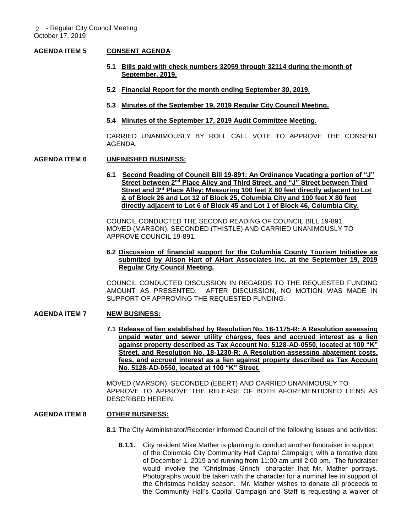### **AGENDA ITEM 5 CONSENT AGENDA**

- **5.1 Bills paid with check numbers 32059 through 32114 during the month of September, 2019.**
- **5.2 Financial Report for the month ending September 30, 2019.**
- **5.3 Minutes of the September 19, 2019 Regular City Council Meeting.**
- **5.4 Minutes of the September 17, 2019 Audit Committee Meeting.**

CARRIED UNANIMOUSLY BY ROLL CALL VOTE TO APPROVE THE CONSENT AGENDA.

#### **AGENDA ITEM 6 UNFINISHED BUSINESS:**

**6.1 Second Reading of Council Bill 19-891: An Ordinance Vacating a portion of "J" Street between 2nd Place Alley and Third Street, and "J" Street between Third Street and 3rd Place Alley; Measuring 100 feet X 80 feet directly adjacent to Lot & of Block 26 and Lot 12 of Block 25, Columbia City and 100 feet X 80 feet directly adjacent to Lot 6 of Block 45 and Lot 1 of Block 46, Columbia City.**

COUNCIL CONDUCTED THE SECOND READING OF COUNCIL BILL 19-891. MOVED (MARSON), SECONDED (THISTLE) AND CARRIED UNANIMOUSLY TO APPROVE COUNCIL 19-891.

#### **6.2 Discussion of financial support for the Columbia County Tourism Initiative as submitted by Alison Hart of AHart Associates Inc. at the September 19, 2019 Regular City Council Meeting.**

COUNCIL CONDUCTED DISCUSSION IN REGARDS TO THE REQUESTED FUNDING AMOUNT AS PRESENTED. AFTER DISCUSSION, NO MOTION WAS MADE IN SUPPORT OF APPROVING THE REQUESTED FUNDING.

### **AGENDA ITEM 7 NEW BUSINESS:**

**7.1 Release of lien established by Resolution No. 16-1175-R; A Resolution assessing unpaid water and sewer utility charges, fees and accrued interest as a lien against property described as Tax Account No. 5128-AD-0550, located at 100 "K" Street, and Resolution No. 18-1230-R; A Resolution assessing abatement costs, fees, and accrued interest as a lien against property described as Tax Account No. 5128-AD-0550, located at 100 "K" Street.**

MOVED (MARSON), SECONDED (EBERT) AND CARRIED UNANIMOUSLY TO APPROVE TO APPROVE THE RELEASE OF BOTH AFOREMENTIONED LIENS AS DESCRIBED HEREIN.

## **AGENDA ITEM 8 OTHER BUSINESS:**

- **8.1** The City Administrator/Recorder informed Council of the following issues and activities:
	- **8.1.1.** City resident Mike Mather is planning to conduct another fundraiser in support of the Columbia City Community Hall Capital Campaign; with a tentative date of December 1, 2019 and running from 11:00 am until 2:00 pm. The fundraiser would involve the "Christmas Grinch" character that Mr. Mather portrays. Photographs would be taken with the character for a nominal fee in support of the Christmas holiday season. Mr. Mather wishes to donate all proceeds to the Community Hall's Capital Campaign and Staff is requesting a waiver of